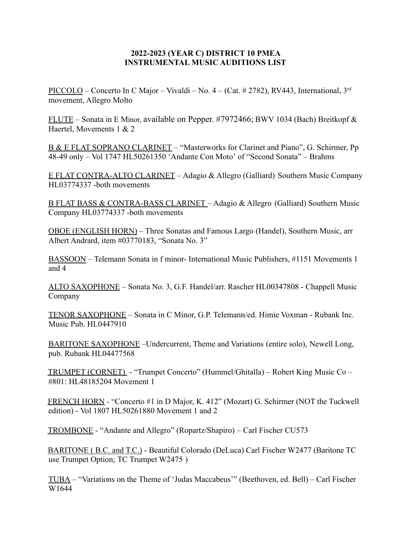## **2022-2023 (YEAR C) DISTRICT 10 PMEA INSTRUMENTAL MUSIC AUDITIONS LIST**

PICCOLO – Concerto In C Major – Vivaldi – No. 4 – (Cat. # 2782), RV443, International, 3<sup>rd</sup> movement, Allegro Molto

FLUTE – Sonata in E Minor, available on Pepper. #7972466; BWV 1034 (Bach) Breitkopf & Haertel, Movements 1 & 2

B & E FLAT SOPRANO CLARINET – "Masterworks for Clarinet and Piano", G. Schirmer, Pp 48-49 only – Vol 1747 HL50261350 'Andante Con Moto' of "Second Sonata" – Brahms

E FLAT CONTRA-ALTO CLARINET – Adagio & Allegro (Galliard) Southern Music Company HL03774337 -both movements

B FLAT BASS & CONTRA-BASS CLARINET – Adagio & Allegro (Galliard) Southern Music Company HL03774337 -both movements

OBOE (ENGLISH HORN) – Three Sonatas and Famous Largo (Handel), Southern Music, arr Albert Andrard, item #03770183, "Sonata No. 3"

BASSOON – Telemann Sonata in f minor- International Music Publishers, #1151 Movements 1 and 4

ALTO SAXOPHONE – Sonata No. 3, G.F. Handel/arr. Rascher HL00347808 - Chappell Music Company

TENOR SAXOPHONE – Sonata in C Minor, G.P. Telemann/ed. Himie Voxman - Rubank Inc. Music Pub. HL0447910

BARITONE SAXOPHONE –Undercurrent, Theme and Variations (entire solo), Newell Long, pub. Rubank HL04477568

TRUMPET (CORNET) - "Trumpet Concerto" (Hummel/Ghitalla) – Robert King Music Co – #801: HL48185204 Movement 1

FRENCH HORN - "Concerto #1 in D Major, K. 412" (Mozart) G. Schirmer (NOT the Tuckwell edition) - Vol 1807 HL50261880 Movement 1 and 2

TROMBONE - "Andante and Allegro" (Ropartz/Shapiro) – Carl Fischer CU573

BARITONE ( B.C. and T.C.) - Beautiful Colorado (DeLuca) Carl Fischer W2477 (Baritone TC use Trumpet Option; TC Trumpet W2475 )

TUBA – "Variations on the Theme of 'Judas Maccabeus'" (Beethoven, ed. Bell) – Carl Fischer W1644